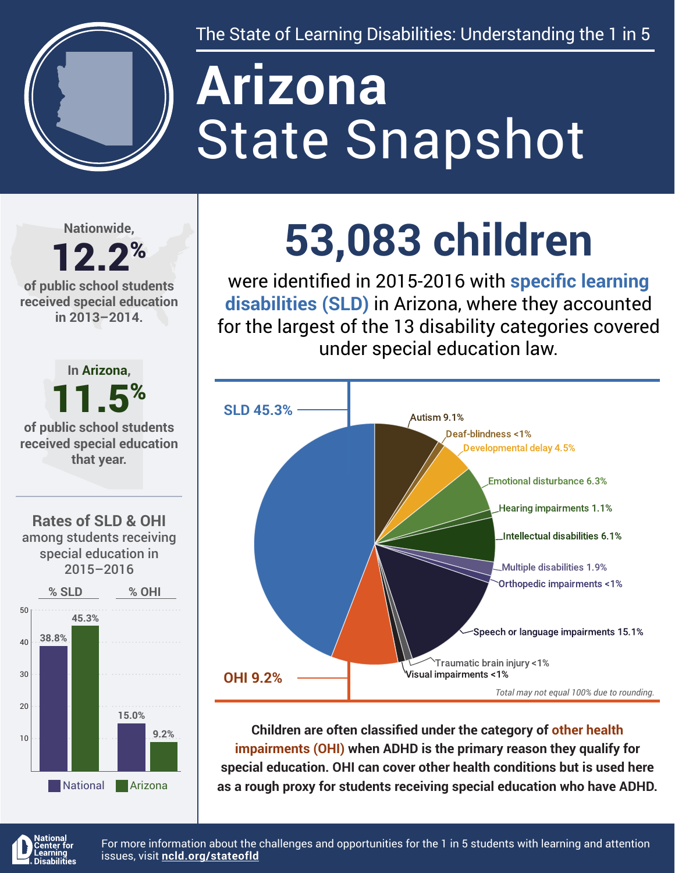

The State of Learning Disabilities: Understanding the 1 in 5

# State Snapshot **Arizona**

**Nationwide,**

#### 12.2% **of public school students received special education in 2013–2014.**



## **53,083 children**

were identified in 2015-2016 with **specific learning disabilities (SLD)** in Arizona, where they accounted for the largest of the 13 disability categories covered under special education law.



**Children are often classified under the category of other health impairments (OHI) when ADHD is the primary reason they qualify for special education. OHI can cover other health conditions but is used here as a rough proxy for students receiving special education who have ADHD.**



For more information about the challenges and opportunities for the 1 in 5 students with learning and attention issues, visit **[ncld.org/stateofld](http://ncld.org/stateofld)**